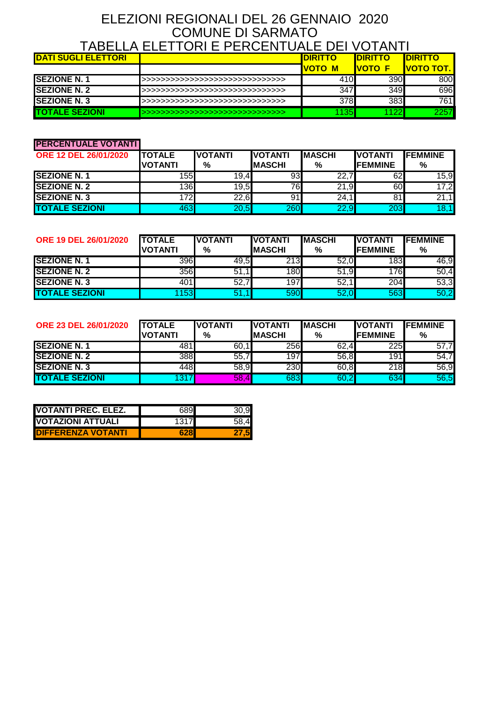## ELEZIONI REGIONALI DEL 26 GENNAIO 2020 COMUNE DI SARMATO TABELLA ELETTORI E PERCENTUALE DEI VOTANTI

|                            | 17 \DEEE/ \ EEE     VI\I E   EI\OEI\I U7 \EE DEI V V I7 \I\I I |                 |                 |                   |
|----------------------------|----------------------------------------------------------------|-----------------|-----------------|-------------------|
| <b>DATI SUGLI ELETTORI</b> |                                                                | <b>IDIRITTO</b> | <b>IDIRITTO</b> | <b>IDIRITTO</b>   |
|                            |                                                                | <b>IVOTO M</b>  | <u>IVOTO </u>   | <u>IVOTO TOT.</u> |
| <b>SEZIONE N.1</b>         | >>>>>>>>>>>>>>>>>>>>>>>>>>>>>>>                                | 410             | 390             | 800               |
| <b>SEZIONE N. 2</b>        | >>>>>>>>>>>>>>>>>>>>>>>>>>>>>>>                                | 347             | 349             | 696               |
| <b>SEZIONE N.3</b>         | >>>>>>>>>>>>>>>>>>>>>>>>>>>>>>>>                               | 378             | 383             | 761 <b>I</b>      |
| <b>TOTALE SEZIONI</b>      | >>>>>>>>>>>>>>>>>>>>>>>>>>>>>>>>                               | 135             | 122             | 22571             |

#### **PERCENTUALE VOTANTI**

| <b>ORE 12 DEL 26/01/2020</b> | <b>ITOTALE</b><br><b>VOTANTI</b> | <b>IVOTANTI</b><br>% | <b>VOTANTI</b><br><b>MASCHI</b> | <b>IMASCHI</b><br>% | <b>IVOTANTI</b><br><b>IFEMMINE</b> | <b>IFEMMINE</b><br>% |
|------------------------------|----------------------------------|----------------------|---------------------------------|---------------------|------------------------------------|----------------------|
| <b>SEZIONE N.1</b>           | 155                              | 19.4                 | 931                             | 22,7                | 621                                | 15,9                 |
| <b>SEZIONE N. 2</b>          | 136                              | 19,5                 | 76                              | 21,9                | 60                                 | 17,2                 |
| <b>SEZIONE N.3</b>           | 172I                             | 22,6                 | 91                              | 24,1                | 81                                 | 21,1                 |
| <b>TOTALE SEZIONI</b>        | 463                              | 20,5                 | 260                             | 22,9                | 203                                | 18,1                 |

| <b>ORE 19 DEL 26/01/2020</b> | <b>TOTALE</b><br><b>VOTANTI</b> | <b>IVOTANTI</b><br>% | <b>VOTANTI</b><br><b>MASCHI</b> | <b>IMASCHI</b><br>% | <b>IVOTANTI</b><br><b>IFEMMINE</b> | <b>IFEMMINE</b><br>% |
|------------------------------|---------------------------------|----------------------|---------------------------------|---------------------|------------------------------------|----------------------|
| <b>ISEZIONE N. 1</b>         | 396                             | 49,5                 | 213                             | 52,0                | 183                                | 46,9                 |
| <b>ISEZIONE N. 2</b>         | 356                             | 51,1                 | 180                             | 51,9                | 1761                               | 50,4                 |
| <b>SEZIONE N.3</b>           | 401                             | 52,7                 | 197                             | 52,                 | 204                                | 53,3                 |
| <b>TOTALE SEZIONI</b>        | 153                             | 51,                  | 590                             | 52,0                | 563                                | 50,2                 |

| <b>ORE 23 DEL 26/01/2020</b> | <b>TOTALE</b><br><b>VOTANTI</b> | <b>IVOTANTI</b><br>% | <b>IVOTANTI</b><br>IMASCHI | <b>IMASCHI</b><br>% | <b>IVOTANTI</b><br><b>IFEMMINE</b> | <b>IFEMMINE</b><br>% |
|------------------------------|---------------------------------|----------------------|----------------------------|---------------------|------------------------------------|----------------------|
| <b>SEZIONE N.1</b>           | 481                             | 60,1                 | 256                        | 62,4                | 225                                | 57,7                 |
| <b>SEZIONE N. 2</b>          | 388                             | 55,7                 | 197                        | 56,8                | 191                                | 54,7                 |
| <b>SEZIONE N.3</b>           | 448                             | 58,9                 | 230                        | 60,8                | 218                                | 56,9                 |
| <b>TOTALE SEZIONI</b>        | 317                             | 58,4                 | 683                        | 60,2                | 634                                | 56,5                 |

| <b>VOTANTI PREC. ELEZ.</b> | 6891 |     |
|----------------------------|------|-----|
| IVOTAZIONI ATTUALI         | 1317 | 58. |
| <b>IDIFFERENZA VOTANTI</b> | 628  |     |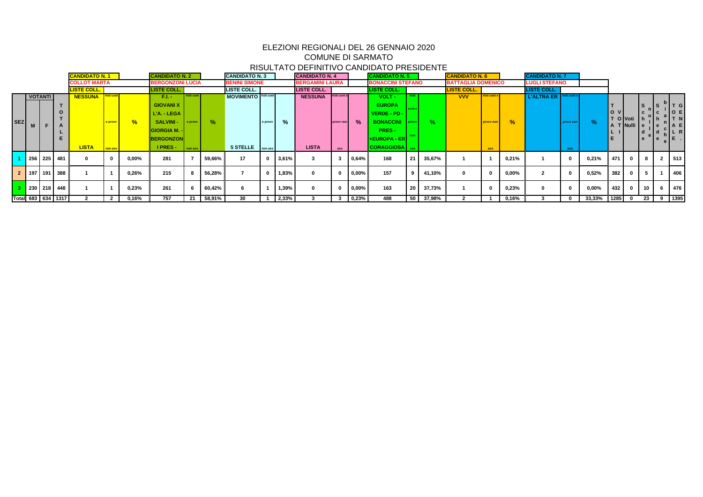|            |         |                |                    | <b>CANDIDATO N.1</b> |          |               | <b>CANDIDATO N. 2</b>                   |           |        | <b>CANDIDATO N. 3</b> |         |               | <b>CANDIDATO N. 4</b>  |             |             | <b>CANDIDATO N. 5</b>                    |       |           | <b>CANDIDATO N. 6</b>     |             |               | <b>CANDIDATO N.7</b> |           |               |            |                       |     |             |
|------------|---------|----------------|--------------------|----------------------|----------|---------------|-----------------------------------------|-----------|--------|-----------------------|---------|---------------|------------------------|-------------|-------------|------------------------------------------|-------|-----------|---------------------------|-------------|---------------|----------------------|-----------|---------------|------------|-----------------------|-----|-------------|
|            |         |                |                    | <b>COLLOT MARTA</b>  |          |               | <b>BERGONZONI LUCIA</b>                 |           |        | <b>BENINI SIMONE</b>  |         |               | <b>BERGAMINI LAURA</b> |             |             | <b>BONACCINI STEFANO</b>                 |       |           | <b>BATTAGLIA DOMENICO</b> |             |               | <b>LUGLI STEFANO</b> |           |               |            |                       |     |             |
|            |         |                |                    | LISTE COLL.          |          |               | <b>LISTE COLL.</b>                      |           |        | <b>LISTE COLL.</b>    |         |               | <b>LISTE COLL.</b>     |             |             | <b>LISTE COLL.</b>                       |       |           | <b>LISTE COLL.</b>        |             |               | <b>LISTE COLL.</b>   |           |               |            |                       |     |             |
|            |         | <b>VOTANTI</b> |                    | <b>NESSUNA</b>       | Voti con |               | F.L.-                                   | Voti cont |        | MOVIMENTO Voti cont   |         |               | <b>NESSUNA</b>         | Voti cont e |             | VOLT-                                    |       |           | <b>VVV</b>                | Voti cont e |               | L'ALTRA ER           |           |               |            |                       |     |             |
|            |         |                |                    |                      |          |               | <b>GIOVANI X</b><br>L'A. - LEGA         |           |        |                       |         |               |                        |             |             | <b>EUROPA</b><br>VERDE - PD -            |       |           |                           |             |               |                      |           |               | lo v       |                       | l S | TGI<br>O E  |
| <b>SEZ</b> |         |                |                    |                      | e provv  | $\frac{9}{6}$ | <b>SALVINI -</b>                        | e provv   | $\%$   |                       | e provv | $\frac{9}{6}$ |                        | provv non   | %           | <b>BONACCINI</b>                         | provv | %.        |                           | provv non   | $\frac{9}{6}$ |                      | provv non | $\frac{9}{6}$ |            | O Voti<br>A T Nulli e |     | IT N<br>A E |
|            |         |                |                    |                      |          |               | <b>GIORGIA M. -</b><br><b>BERGONZON</b> |           |        |                       |         |               |                        |             |             | <b>PRES-</b><br><b>+EUROPA - ER</b>      |       |           |                           |             |               |                      |           |               |            |                       | l e | LRI         |
|            |         |                |                    | <b>LISTA</b>         | non ass  |               | <b>IPRES-</b>                           | non ass   |        | 5 STELLE non ass      |         |               | <b>LISTA</b>           | ass         |             | CORAGGIOSA <sup>N</sup> ass <sup>N</sup> |       |           |                           | ass         |               |                      | ass       |               |            |                       |     |             |
|            |         | 256 225 481    |                    |                      |          | $0,00\%$      | 281                                     |           | 59,66% | 17                    |         | $3,61\%$      |                        |             | 0,64%       | 168                                      | 21    | 35,67%    |                           |             | 0,21%         |                      |           | 0,21%         | 471 I      | $\mathbf{0}$          |     | 513         |
|            | 2   197 |                | 191 388            |                      |          | 0,26%         | 215                                     |           | 56,28% |                       |         | 1,83%         | $\bf{0}$               |             | 0,00%       | 157                                      |       | 41,10%    | $\mathbf 0$               |             | $0,00\%$      |                      |           | 0,52%         | 382        | 0                     |     | 406         |
|            |         |                | 230   218   448    |                      |          | 0,23%         | 261                                     | 6         | 60,42% |                       |         | 1,39%         | $\mathbf{0}$           |             | 0,00%       | 163                                      | -20   | 37,73%    |                           |             | 0,23%         |                      |           | $0,00\%$      | 432 0      |                       | 10  | 476         |
|            |         |                | Total 683 634 1317 |                      |          | 0,16%         | 757                                     | 21        | 58,91% | 30                    |         | 2,33%         |                        |             | $  0, 23\%$ | 488                                      |       | 50 37,98% |                           |             | 0,16%         |                      |           | 33,33%        | $1285$ $0$ |                       | 23  | 9 1395      |

# ELEZIONI REGIONALI DEL 26 GENNAIO 2020 COMUNE DI SARMATO

# RISULTATO DEFINITIVO CANDIDATO PRESIDENTE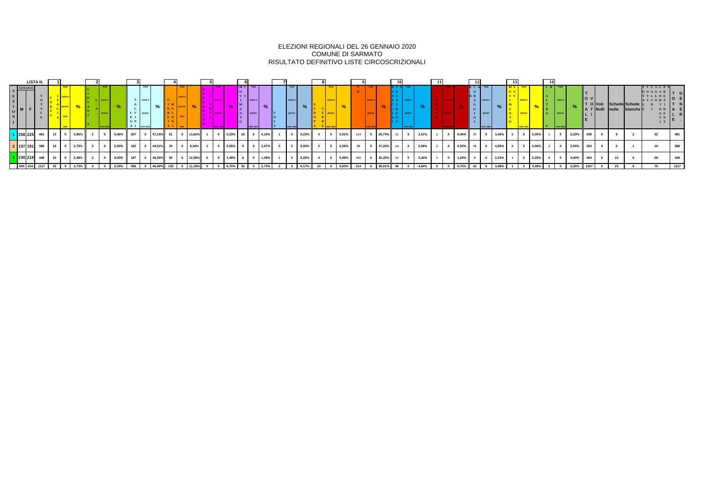|                             | LISTA N. |                      |  |       |                                                     |                          |                         |     |                                 |           |  |               |                      |                 |                |                                   |  |                                    |                                                                                                  |                                                      |       |  |  |                                   |  |                       |                                  |               |              |                    |           |                        |       |                  |                        |                         |                                                      |         |
|-----------------------------|----------|----------------------|--|-------|-----------------------------------------------------|--------------------------|-------------------------|-----|---------------------------------|-----------|--|---------------|----------------------|-----------------|----------------|-----------------------------------|--|------------------------------------|--------------------------------------------------------------------------------------------------|------------------------------------------------------|-------|--|--|-----------------------------------|--|-----------------------|----------------------------------|---------------|--------------|--------------------|-----------|------------------------|-------|------------------|------------------------|-------------------------|------------------------------------------------------|---------|
| VOTANTI                     |          |                      |  |       |                                                     | ∴ ∎ conte<br><b>Drow</b> |                         | G N | S conte<br>provv<br>A I non ass |           |  |               | $\blacksquare$ provv |                 | $M_{5}$<br>V S | cont e<br><b>Drovy</b><br>non ass |  | Voti<br>cont e<br>provv<br>non ass |                                                                                                  | cont e<br>$E$ I provv                                |       |  |  |                                   |  |                       | cont e<br>$I$   provv<br>non ass |               | <b>provv</b> |                    | I non as: |                        |       | lo v             | T O Voti Schede Schede | A T Nulli nulle bianche | TVVSCP1<br>$00A0AR$ <sub>T</sub><br>TTLLNE<br>AIIODS | D D   A |
| $1 \,   \, 256 \,   \, 225$ |          | 481   13   0   2,96% |  |       | $\overline{2}$                                      |                          | 0 0,46% 207 0 47,15% 51 |     |                                 |           |  | 0 11,62%      |                      |                 |                | 0 0,23% 18 0 4,10%                |  |                                    |                                                                                                  |                                                      |       |  |  | 0 0,91% 113 0 25,74% 11 0 2,51% 2 |  | 0 $0,46\%$ 15 0 3,42% |                                  |               |              | $0 \t 0 \t 0,00\%$ |           | $0 \t 0.23\%$ 439      |       |                  |                        |                         |                                                      |         |
| 2 197 191                   |          |                      |  |       | 388 10 0 2,75% 0                                    |                          | $0 \t 0.00\%$ 162 0     |     |                                 | 44,51% 34 |  | $0 \t 9,34\%$ |                      | $0 \t 0.55\%$ 9 |                | $0 \quad 2,47\%$                  |  |                                    | $0 \t 0,00\%$ 2                                                                                  | $\overline{\phantom{a}}$ of $\overline{\phantom{a}}$ | 0,55% |  |  | 99 0 27,20% 24 0 6,59% 2          |  |                       |                                  |               |              |                    |           | 2 0 0.55% 364          |       |                  |                        |                         |                                                      |         |
| 3 230 218                   |          | 448 10 0 2,48%       |  |       | $\overline{\phantom{a}}$ 2 $\overline{\phantom{a}}$ |                          | 0 0,50% 187 0 46,29% 50 |     |                                 |           |  | 12,38%        |                      | $0 \t 1,49\%$ 6 |                | $0 \t1.49\%$                      |  |                                    | $\begin{array}{ c c c c c c c c } \hline \multicolumn{1}{ c }{0.25\%} & 4 \\ \hline \end{array}$ | $\overline{\phantom{a}}$                             | 0,99% |  |  | $102$ 0 25,25% 21 0 5,20% 5       |  | $1,24\%$ 9            |                                  | $0 \t 2,23\%$ |              |                    |           | $0 \t 0 \t 0,00\%$ 404 |       |                  |                        |                         |                                                      |         |
|                             |          |                      |  | 2,73% |                                                     | $\mathbf{0}$             | 0,33%                   | 556 |                                 | 46,06%    |  |               |                      | $0 \t 0.75%$    |                |                                   |  |                                    |                                                                                                  |                                                      |       |  |  | 4,64%                             |  | 0,75%                 |                                  | 3,48%         |              | $  0,08\%  $       |           |                        | 0,25% | $\parallel$ 1207 |                        |                         |                                                      | 1317    |

#### ELEZIONI REGIONALI DEL 26 GENNAIO 2020 COMUNE DI SARMATO RISULTATO DEFINITIVO LISTE CIRCOSCRIZIONALI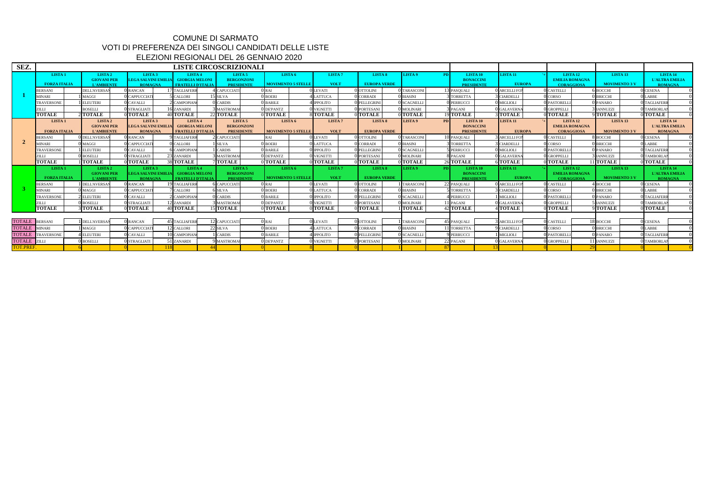| SEZ.            |                                           |                                                               |                                                             |                                                                     | <b>LISTE CIRCOSCRIZIONALI</b>                                |                                                 |                                   |                                           |                    |                                                                |                                  |                                                                   |                                             |                                                     |
|-----------------|-------------------------------------------|---------------------------------------------------------------|-------------------------------------------------------------|---------------------------------------------------------------------|--------------------------------------------------------------|-------------------------------------------------|-----------------------------------|-------------------------------------------|--------------------|----------------------------------------------------------------|----------------------------------|-------------------------------------------------------------------|---------------------------------------------|-----------------------------------------------------|
|                 | <b>LISTA1</b><br><b>FORZA ITALIA</b>      | <b>LISTA2</b><br><b>GIOVANI PER</b><br><b>L'AMBIENTE</b>      | <b>LISTA 3</b><br>LEGA SALVINI EMILIA<br><b>ROMAGNA</b>     | LISTA 4<br><b>GIORGIA MELONI</b><br><b>FRATELLI D'ITALIA</b>        | LISTA <sub>5</sub><br><b>BERGONZONI</b><br><b>PRESIDENTE</b> | LISTA 6<br>MOVIMENTO 5 STELLE                   | LISTA <sub>7</sub><br><b>VOLT</b> | LISTA <sub>8</sub><br><b>EUROPA VERDE</b> | LISTA 9            | - PD L<br>LISTA 10<br><b>BONACCINI</b><br><b>PRESIDENTE</b>    | <b>LISTA 11</b><br><b>EUROPA</b> | LISTA <sub>12</sub><br><b>EMILIA ROMAGNA</b><br><b>CORAGGIOSA</b> | LISTA <sub>13</sub><br><b>MOVIMENTO 3 V</b> | LISTA 14<br>L'ALTRA EMILIA<br><b>ROMAGNA</b>        |
|                 | <b>BERSANI</b>                            | <b>DELL'AVERSA</b>                                            | 0 RANCAN                                                    | <b>TAGLIAFERE</b>                                                   | <b>CAPUCCIAT</b>                                             | 0RAI                                            | <b>LEVATI</b>                     | 0 OTTOLINI                                | 0 TARASCONI        | 13 PASQUALI                                                    | 0 ARCELLI FO                     | <b>CASTELLI</b>                                                   | 6 воссн <u>і</u>                            | <b>CESENA</b>                                       |
|                 | <b>MINARI</b>                             | <b>MAGGI</b>                                                  | 0 CAPPUCCIAT                                                | <b>CALLORI</b>                                                      | 15 silva                                                     | $0$ BOERI                                       | <b>LATTUCA</b>                    | 0 CORRADI                                 | O BIASINI          | <b>TORRETT</b>                                                 | <b>CIARDELLI</b>                 | CORSO                                                             | 0 BRICCHI                                   | LABBE                                               |
|                 | <b>TRAVERSONE</b>                         | <b>ELEUTERI</b>                                               | 0 CAVALLI                                                   | <b>CAMPOPIAN</b>                                                    | <b>CARDIS</b>                                                | 0 BARILE                                        | <b>IPPOLITO</b>                   | 0 PELLEGRIN                               | <b>O</b> SCAGNELLI | <b>PERRUCCI</b>                                                | ) MIGLIOLI                       | <b>PASTORELL</b>                                                  | 0 PANARO                                    | <b>TAGLIAFER</b>                                    |
|                 | ZILLI                                     | <b>BOSELLI</b>                                                | 0 STRAGLIATI                                                | 6 ZANARDI                                                           | <b>MASTROMA</b>                                              | 0 DEPANTZ                                       | <b>VIGNETTI</b>                   | 0 PORTESANI                               | 0 MOLINARI         | PAGANI                                                         | 0 GALAVERN                       | <b>J</b> GROPPELLI                                                | <b>IANNUZZI</b>                             | TAMBORLA                                            |
|                 | <b>TOTALE</b>                             | <b>TOTALE</b>                                                 | 0 TOTALE                                                    | <b>40 TOTALE</b>                                                    | 22 TOTALE                                                    | 0 TOTALE                                        | <b>TOTALE</b>                     | <b>TOTALE</b>                             | 0 TOTALE           | <b>19TOTALE</b>                                                | <b>TOTALE</b>                    | <b>OITOTALE</b>                                                   | 9 TOTALE                                    | <b>TOTALE</b>                                       |
|                 | LISTA <sub>1</sub><br><b>FORZA ITALIA</b> | LISTA <sub>2</sub><br><b>GIOVANI PER</b><br><b>L'AMBIENTE</b> | LISTA <sub>3</sub><br>LEGA SALVINI EMILIA<br><b>ROMAGNA</b> | <b>LISTA 4</b><br><b>GIORGIA MELONI</b><br><b>FRATELLI D'ITALIA</b> | LISTA <sub>5</sub><br><b>BERGONZONI</b><br><b>PRESIDENTE</b> | LISTA <sub>6</sub><br><b>MOVIMENTO 5 STELLE</b> | LISTA <sub>7</sub><br><b>VOLT</b> | LISTA <sub>8</sub><br><b>EUROPA VERDE</b> | LISTA 9            | <b>PD</b><br>LISTA 10<br><b>BONACCINI</b><br><b>PRESIDENTE</b> | <b>LISTA 11</b><br><b>EUROPA</b> | <b>LISTA 12</b><br><b>EMILIA ROMAGNA</b><br><b>CORAGGIOSA</b>     | LISTA <sub>13</sub><br><b>MOVIMENTO 3 V</b> | LISTA 14<br><b>L'ALTRA EMILIA</b><br><b>ROMAGNA</b> |
|                 | <b>BERSANI</b>                            | O DELL'AVERSA                                                 | 0 RANCAN                                                    | <b>TAGLIAFERE</b>                                                   | <b>CAPUCCIAT</b>                                             | RAI                                             | ) LEVATI                          | 0 OTTOLINI                                | 0 TARASCONI        | 10 PASQUALI                                                    | <b>ARCELLIFC</b>                 | 0 CASTELLI                                                        | 8 BOCCHI                                    | CESENA                                              |
|                 | <b>MINARI</b>                             | $\mathbf{M}$ AGGI                                             | 0 CAPPUCCIAT                                                | <b>CALLORI</b>                                                      | SILVA                                                        | $0$ BOERI                                       | <b>LATTUCA</b>                    | 0 CORRADI                                 | O BIASINI          | <b>TORRETTA</b>                                                | <b>CIARDELLI</b>                 | CORSO                                                             | 0 BRICCHI                                   | <b>LABBE</b>                                        |
|                 | TRAVERSONE                                | <b>ELEUTER</b>                                                | 0 CAVALLI                                                   | <b>CAMPOPIAN</b>                                                    | <b>CARDIS</b>                                                | 0 BARILE                                        | <b>IPPOLITO</b>                   | 0 PELLEGRIN                               | 0 SCAGNELLI        | <b>PERRUCCI</b>                                                | 0 MIGLIOLI                       | 0 PASTORELLI                                                      | 0 PANARO                                    | ) TAGLIAFERI                                        |
|                 | ZIL J.I                                   | BOSELLI                                                       | ) STRAGLIATI                                                | 3 ZANARDI                                                           | <b>MASTROMA</b>                                              | 0 DEPANTZ                                       | <b>VIGNETTI</b>                   | O PORTESANI                               | 0 MOLINARI         | <b>PAGANI</b>                                                  | 0 GALAVERN                       | <b>GROPPELLI</b>                                                  | <b>IANNUZZI</b>                             | <b>TAMBORLA</b>                                     |
|                 | <b>TOTALE</b>                             | <b>TOTALE</b>                                                 | 0 TOTALE                                                    | <b>38 TOTALE</b>                                                    | <b>TOTALE</b>                                                | 0 TOTALE                                        | <b>TOTALE</b>                     | 0TOTALE                                   | 0 TOTALE           | 26 TOTALE                                                      | <b>STOTALE</b>                   | <b>OITOTALE</b>                                                   | 1 TOTALE                                    | <b>TOTALE</b>                                       |
|                 | LISTA <sub>1</sub>                        | LISTA <sub>2</sub>                                            | LISTA <sub>3</sub>                                          | LISTA 4                                                             | LISTA <sub>5</sub>                                           | LISTA 6                                         | LISTA <sub>7</sub>                | <b>LISTA 8</b>                            | LISTA 9            | <b>LISTA 10</b><br>-PD L                                       | <b>LISTA 11</b>                  | LISTA <sub>12</sub>                                               | LISTA <sub>13</sub>                         | LISTA 14                                            |
|                 | <b>FORZA ITALIA</b>                       | <b>GIOVANI PER</b><br><b>L'AMBIENTE</b>                       | <b>LEGA SALVINI EMILL</b><br><b>ROMAGNA</b>                 | <b>GIORGIA MELONI</b><br>FRATELLI D'ITALIA                          | <b>BERGONZONI</b><br><b>PRESIDENTE</b>                       | <b>MOVIMENTO 5 STELLE</b>                       | <b>VOLT</b>                       | <b>EUROPA VERDE</b>                       |                    | <b>BONACCINI</b><br><b>PRESIDENTE</b>                          | <b>EUROPA</b>                    | <b>EMILIA ROMAGNA</b><br><b>CORAGGIOSA</b>                        | <b>MOVIMENTO 3 V</b>                        | <b>L'ALTRA EMILIA</b><br><b>ROMAGNA</b>             |
|                 | <b>BERSANI</b>                            | <b>DELL'AVERSA</b>                                            | 0 RANCAN                                                    | <b>9 TAGLIAFERE</b>                                                 | <b>CAPUCCIAT</b>                                             | 0RAI                                            | LEVATI                            | 0 ottolini                                | <b>TARASCONI</b>   | 22 PASQUALI                                                    | 0 ARCELLI FO                     | <b>CASTELLI</b>                                                   | <b>BOCCHI</b>                               | CESENA                                              |
|                 | <b>MINARI</b>                             | MAGGI                                                         | O CAPPUCCIAT                                                | CALLORI                                                             | <b>SILVA</b>                                                 | 0 BOERI                                         | <b>LATTUCA</b>                    | CORRADI                                   | 0 BIASINI          | <b>TORRETTA</b>                                                | <b>CIARDELLI</b>                 | <b>CORSO</b>                                                      | 0 bricchi                                   | LABBE                                               |
|                 | <b>TRAVERSONE</b>                         | ELEUTERI                                                      | 0 CAVALLI                                                   | <b>CAMPOPIAN</b>                                                    | <b>CARDIS</b>                                                | O BARILE                                        | <b>IPPOLITO</b>                   | ) PELLEGRIN                               | O SCAGNELLI        | PERRUCCI                                                       | <b>MIGLIOLI</b>                  | <b>PASTORELI</b>                                                  | 0 PANARO                                    | <b>TAGLIAFER</b>                                    |
|                 | ZILLI                                     | BOSELLI                                                       | <b>J</b> STRAGLIAT                                          | 2 ZANARDI                                                           | <b>MASTROM</b>                                               | 0 DEPANTZ                                       | <b>VIGNETTI</b>                   | 0 PORTESANI                               | O MOLINARI         | 1 PAGANI                                                       | <b>O</b> GALAVERN                | <b>GROPPELLI</b>                                                  | <b>IANNUZZI</b>                             | TAMBORLA                                            |
|                 | <b>TOTALE</b>                             | <b>TOTALE</b>                                                 | 0 TOTALE                                                    | <b>40 TOTALE</b>                                                    | <b>15 TOTALE</b>                                             | 0 TOTALE                                        | <b>TOTALE</b>                     | 0 TOTALE                                  | <b>TOTALE</b>      | 42 TOTALE                                                      | <b>TOTALE</b>                    | <b>OITOTALE</b>                                                   | 9 TOTALE                                    | <b>OITOTALE</b>                                     |
|                 |                                           |                                                               |                                                             |                                                                     |                                                              |                                                 |                                   |                                           |                    |                                                                |                                  |                                                                   |                                             |                                                     |
| TOTALE BERSANI  |                                           | <b>DELL'AVERSA</b>                                            | 0 RANCAN                                                    | 15 TAGLIAFERF                                                       | <b>CAPUCCIAT</b>                                             | 0RAI                                            | LEVATI                            | 0 OTTOLINI                                | <b>TARASCON</b>    | 45 PASQUALI                                                    | <b>ARCELLIFO</b>                 | CASTELLI                                                          | 18 BOCCHI                                   | <b>CESENA</b>                                       |
| <b>TOTALE</b>   | MINARI                                    | <b>MAGGI</b>                                                  | CAPPUCCIA <sup>®</sup>                                      | 2 CALLORI                                                           | <b>lisilva</b>                                               | 0 BOERI                                         | LATTUCA                           | 0 CORRADI                                 | O BIASINI          | 1 TORRETT                                                      | <b>CIARDELLI</b>                 | <b>CORSO</b>                                                      | 0 bricchi                                   | <b>LABBE</b>                                        |
| <b>TOTALE</b>   | <b>TRAVERSONE</b>                         | <b>ELEUTERI</b>                                               | 0 CAVALLI                                                   | CAMPOPIAN                                                           | <b>CARDIS</b>                                                | 0 BARILE                                        | <b>PPOLITO</b>                    | 0 PELLEGRIN                               | <b>O</b> SCAGNELLI | PERRUCCI                                                       | <b>MIGLIOLI</b>                  | <b>PASTORELI</b>                                                  | 0 PANARO                                    | TAGLIAFER                                           |
| <b>TOTALE</b>   | ZILL                                      | <b>BOSELLI</b>                                                | STRAGLIAT                                                   | <b>I</b> ZANARDI                                                    | <b>MASTROM</b>                                               | <b>ODEPANTZ</b>                                 | <b>VIGNETTI</b>                   | 0 PORTESAN                                | 0 MOLINARI         | 22 PAGANI                                                      | <b>GALAVERN</b>                  | <b>GROPPELL</b>                                                   | <b>IANNUZZI</b>                             | <b>TAMBORLA</b>                                     |
| <b>TOT.PREF</b> |                                           |                                                               |                                                             |                                                                     |                                                              |                                                 |                                   |                                           |                    |                                                                |                                  |                                                                   |                                             |                                                     |

## ELEZIONI REGIONALI DEL 26 GENNAIO 2020 COMUNE DI SARMATO VOTI DI PREFERENZA DEI SINGOLI CANDIDATI DELLE LISTE